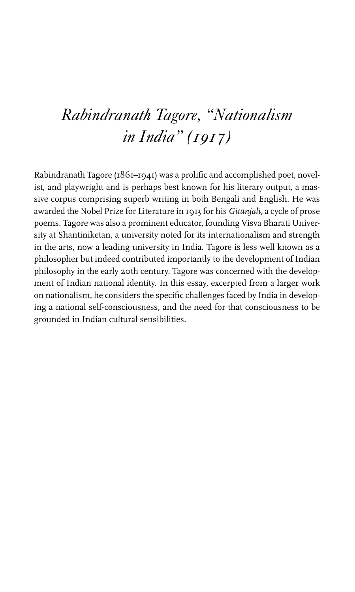## *Rabindranath Tagore, "Nationalism in India" (1917)*

Rabindranath Tagore ( $1861-1941$ ) was a prolific and accomplished poet, novelist, and playwright and is perhaps best known for his literary output, a massive corpus comprising superb writing in both Bengali and English. He was awarded the Nobel Prize for Literature in 1913 for his Gitānjali, a cycle of prose poems. Tagore was also a prominent educator, founding Visva Bharati University at Shantiniketan, a university noted for its internationalism and strength in the arts, now a leading university in India. Tagore is less well known as a philosopher but indeed contributed importantly to the development of Indian philosophy in the early 20th century. Tagore was concerned with the development of Indian national identity. In this essay, excerpted from a larger work on nationalism, he considers the specific challenges faced by India in developing a national self-consciousness, and the need for that consciousness to be grounded in Indian cultural sensibilities.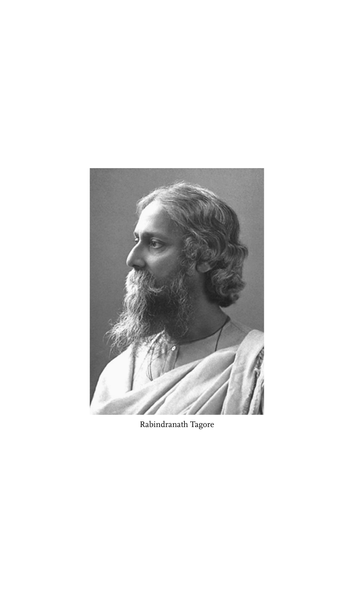

Rabindranath Tagore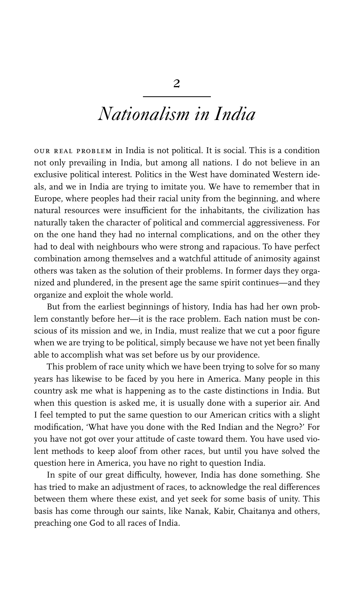## *Nationalism in India*

our real problem in India is not political. It is social. This is a condition not only prevailing in India, but among all nations. I do not believe in an exclusive political interest. Politics in the West have dominated Western ideals, and we in India are trying to imitate you. We have to remember that in Europe, where peoples had their racial unity from the beginning, and where natural resources were insufficient for the inhabitants, the civilization has naturally taken the character of political and commercial aggressiveness. For on the one hand they had no internal complications, and on the other they had to deal with neighbours who were strong and rapacious. To have perfect combination among themselves and a watchful attitude of animosity against others was taken as the solution of their problems. In former days they organized and plundered, in the present age the same spirit continues—and they organize and exploit the whole world.

But from the earliest beginnings of history, India has had her own problem constantly before her—it is the race problem. Each nation must be conscious of its mission and we, in India, must realize that we cut a poor figure when we are trying to be political, simply because we have not yet been finally able to accomplish what was set before us by our providence.

This problem of race unity which we have been trying to solve for so many years has likewise to be faced by you here in America. Many people in this country ask me what is happening as to the caste distinctions in India. But when this question is asked me, it is usually done with a superior air. And I feel tempted to put the same question to our American critics with a slight modification, 'What have you done with the Red Indian and the Negro?' For you have not got over your attitude of caste toward them. You have used violent methods to keep aloof from other races, but until you have solved the question here in America, you have no right to question India.

In spite of our great difficulty, however, India has done something. She has tried to make an adjustment of races, to acknowledge the real differences between them where these exist, and yet seek for some basis of unity. This basis has come through our saints, like Nanak, Kabir, Chaitanya and others, preaching one God to all races of India.

2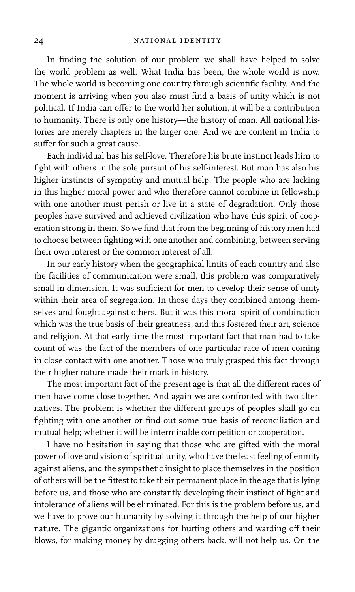In finding the solution of our problem we shall have helped to solve the world problem as well. What India has been, the whole world is now. The whole world is becoming one country through scientific facility. And the moment is arriving when you also must find a basis of unity which is not political. If India can offer to the world her solution, it will be a contribution to humanity. There is only one history—the history of man. All national histories are merely chapters in the larger one. And we are content in India to suffer for such a great cause.

Each individual has his self-love. Therefore his brute instinct leads him to fight with others in the sole pursuit of his self-interest. But man has also his higher instincts of sympathy and mutual help. The people who are lacking in this higher moral power and who therefore cannot combine in fellowship with one another must perish or live in a state of degradation. Only those peoples have survived and achieved civilization who have this spirit of cooperation strong in them. So we find that from the beginning of history men had to choose between fighting with one another and combining, between serving their own interest or the common interest of all.

In our early history when the geographical limits of each country and also the facilities of communication were small, this problem was comparatively small in dimension. It was sufficient for men to develop their sense of unity within their area of segregation. In those days they combined among themselves and fought against others. But it was this moral spirit of combination which was the true basis of their greatness, and this fostered their art, science and religion. At that early time the most important fact that man had to take count of was the fact of the members of one particular race of men coming in close contact with one another. Those who truly grasped this fact through their higher nature made their mark in history.

The most important fact of the present age is that all the different races of men have come close together. And again we are confronted with two alternatives. The problem is whether the different groups of peoples shall go on fighting with one another or find out some true basis of reconciliation and mutual help; whether it will be interminable competition or cooperation.

I have no hesitation in saying that those who are gifted with the moral power of love and vision of spiritual unity, who have the least feeling of enmity against aliens, and the sympathetic insight to place themselves in the position of others will be the fittest to take their permanent place in the age that is lying before us, and those who are constantly developing their instinct of fight and intolerance of aliens will be eliminated. For this is the problem before us, and we have to prove our humanity by solving it through the help of our higher nature. The gigantic organizations for hurting others and warding off their blows, for making money by dragging others back, will not help us. On the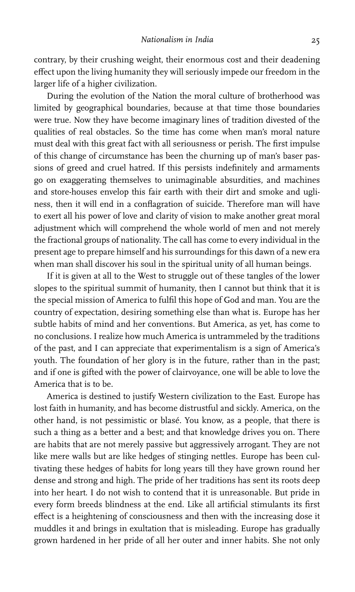contrary, by their crushing weight, their enormous cost and their deadening effect upon the living humanity they will seriously impede our freedom in the larger life of a higher civilization.

During the evolution of the Nation the moral culture of brotherhood was limited by geographical boundaries, because at that time those boundaries were true. Now they have become imaginary lines of tradition divested of the qualities of real obstacles. So the time has come when man's moral nature must deal with this great fact with all seriousness or perish. The first impulse of this change of circumstance has been the churning up of man's baser passions of greed and cruel hatred. If this persists indefinitely and armaments go on exaggerating themselves to unimaginable absurdities, and machines and store-houses envelop this fair earth with their dirt and smoke and ugliness, then it will end in a conflagration of suicide. Therefore man will have to exert all his power of love and clarity of vision to make another great moral adjustment which will comprehend the whole world of men and not merely the fractional groups of nationality. The call has come to every individual in the present age to prepare himself and his surroundings for this dawn of a new era when man shall discover his soul in the spiritual unity of all human beings.

If it is given at all to the West to struggle out of these tangles of the lower slopes to the spiritual summit of humanity, then I cannot but think that it is the special mission of America to fulfil this hope of God and man. You are the country of expectation, desiring something else than what is. Europe has her subtle habits of mind and her conventions. But America, as yet, has come to no conclusions. I realize how much America is untrammeled by the traditions of the past, and I can appreciate that experimentalism is a sign of America's youth. The foundation of her glory is in the future, rather than in the past; and if one is gifted with the power of clairvoyance, one will be able to love the America that is to be.

America is destined to justify Western civilization to the East. Europe has lost faith in humanity, and has become distrustful and sickly. America, on the other hand, is not pessimistic or blasé. You know, as a people, that there is such a thing as a better and a best; and that knowledge drives you on. There are habits that are not merely passive but aggressively arrogant. They are not like mere walls but are like hedges of stinging nettles. Europe has been cultivating these hedges of habits for long years till they have grown round her dense and strong and high. The pride of her traditions has sent its roots deep into her heart. I do not wish to contend that it is unreasonable. But pride in every form breeds blindness at the end. Like all artificial stimulants its first effect is a heightening of consciousness and then with the increasing dose it muddles it and brings in exultation that is misleading. Europe has gradually grown hardened in her pride of all her outer and inner habits. She not only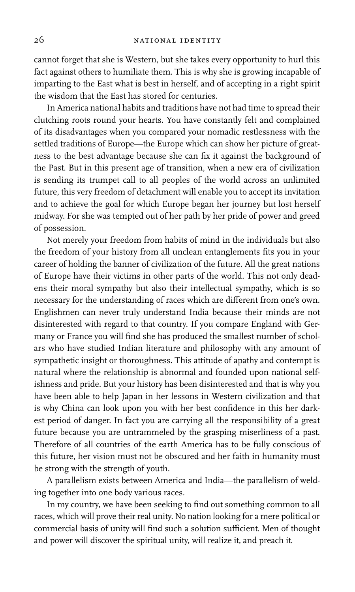cannot forget that she is Western, but she takes every opportunity to hurl this fact against others to humiliate them. This is why she is growing incapable of imparting to the East what is best in herself, and of accepting in a right spirit the wisdom that the East has stored for centuries.

In America national habits and traditions have not had time to spread their clutching roots round your hearts. You have constantly felt and complained of its disadvantages when you compared your nomadic restlessness with the settled traditions of Europe—the Europe which can show her picture of greatness to the best advantage because she can fix it against the background of the Past. But in this present age of transition, when a new era of civilization is sending its trumpet call to all peoples of the world across an unlimited future, this very freedom of detachment will enable you to accept its invitation and to achieve the goal for which Europe began her journey but lost herself midway. For she was tempted out of her path by her pride of power and greed of possession.

Not merely your freedom from habits of mind in the individuals but also the freedom of your history from all unclean entanglements fits you in your career of holding the banner of civilization of the future. All the great nations of Europe have their victims in other parts of the world. This not only deadens their moral sympathy but also their intellectual sympathy, which is so necessary for the understanding of races which are different from one's own. Englishmen can never truly understand India because their minds are not disinterested with regard to that country. If you compare England with Germany or France you will find she has produced the smallest number of scholars who have studied Indian literature and philosophy with any amount of sympathetic insight or thoroughness. This attitude of apathy and contempt is natural where the relationship is abnormal and founded upon national selfishness and pride. But your history has been disinterested and that is why you have been able to help Japan in her lessons in Western civilization and that is why China can look upon you with her best confidence in this her darkest period of danger. In fact you are carrying all the responsibility of a great future because you are untrammeled by the grasping miserliness of a past. Therefore of all countries of the earth America has to be fully conscious of this future, her vision must not be obscured and her faith in humanity must be strong with the strength of youth.

A parallelism exists between America and India—the parallelism of welding together into one body various races.

In my country, we have been seeking to find out something common to all races, which will prove their real unity. No nation looking for a mere political or commercial basis of unity will find such a solution sufficient. Men of thought and power will discover the spiritual unity, will realize it, and preach it.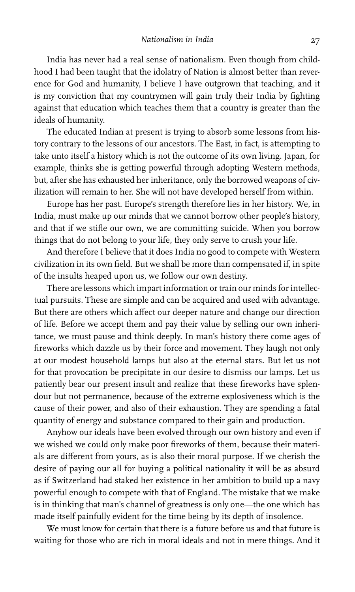India has never had a real sense of nationalism. Even though from childhood I had been taught that the idolatry of Nation is almost better than reverence for God and humanity, I believe I have outgrown that teaching, and it is my conviction that my countrymen will gain truly their India by fighting against that education which teaches them that a country is greater than the ideals of humanity.

The educated Indian at present is trying to absorb some lessons from history contrary to the lessons of our ancestors. The East, in fact, is attempting to take unto itself a history which is not the outcome of its own living. Japan, for example, thinks she is getting powerful through adopting Western methods, but, after she has exhausted her inheritance, only the borrowed weapons of civilization will remain to her. She will not have developed herself from within.

Europe has her past. Europe's strength therefore lies in her history. We, in India, must make up our minds that we cannot borrow other people's history, and that if we stifle our own, we are committing suicide. When you borrow things that do not belong to your life, they only serve to crush your life.

And therefore I believe that it does India no good to compete with Western civilization in its own field. But we shall be more than compensated if, in spite of the insults heaped upon us, we follow our own destiny.

There are lessons which impart information or train our minds for intellectual pursuits. These are simple and can be acquired and used with advantage. But there are others which affect our deeper nature and change our direction of life. Before we accept them and pay their value by selling our own inheritance, we must pause and think deeply. In man's history there come ages of fireworks which dazzle us by their force and movement. They laugh not only at our modest household lamps but also at the eternal stars. But let us not for that provocation be precipitate in our desire to dismiss our lamps. Let us patiently bear our present insult and realize that these fireworks have splendour but not permanence, because of the extreme explosiveness which is the cause of their power, and also of their exhaustion. They are spending a fatal quantity of energy and substance compared to their gain and production.

Anyhow our ideals have been evolved through our own history and even if we wished we could only make poor fireworks of them, because their materials are different from yours, as is also their moral purpose. If we cherish the desire of paying our all for buying a political nationality it will be as absurd as if Switzerland had staked her existence in her ambition to build up a navy powerful enough to compete with that of England. The mistake that we make is in thinking that man's channel of greatness is only one—the one which has made itself painfully evident for the time being by its depth of insolence.

We must know for certain that there is a future before us and that future is waiting for those who are rich in moral ideals and not in mere things. And it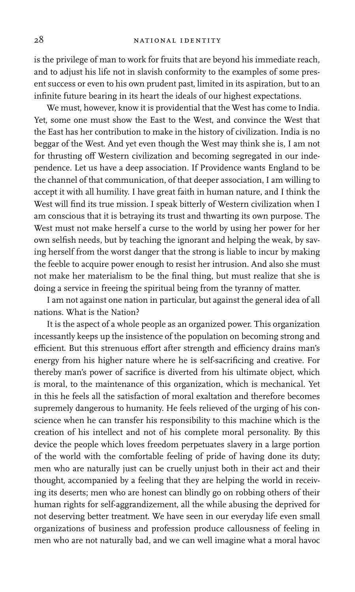is the privilege of man to work for fruits that are beyond his immediate reach, and to adjust his life not in slavish conformity to the examples of some present success or even to his own prudent past, limited in its aspiration, but to an infinite future bearing in its heart the ideals of our highest expectations.

We must, however, know it is providential that the West has come to India. Yet, some one must show the East to the West, and convince the West that the East has her contribution to make in the history of civilization. India is no beggar of the West. And yet even though the West may think she is, I am not for thrusting off Western civilization and becoming segregated in our independence. Let us have a deep association. If Providence wants England to be the channel of that communication, of that deeper association, I am willing to accept it with all humility. I have great faith in human nature, and I think the West will find its true mission. I speak bitterly of Western civilization when I am conscious that it is betraying its trust and thwarting its own purpose. The West must not make herself a curse to the world by using her power for her own selfish needs, but by teaching the ignorant and helping the weak, by saving herself from the worst danger that the strong is liable to incur by making the feeble to acquire power enough to resist her intrusion. And also she must not make her materialism to be the final thing, but must realize that she is doing a service in freeing the spiritual being from the tyranny of matter.

I am not against one nation in particular, but against the general idea of all nations. What is the Nation?

It is the aspect of a whole people as an organized power. This organization incessantly keeps up the insistence of the population on becoming strong and efficient. But this strenuous effort after strength and efficiency drains man's energy from his higher nature where he is self-sacrificing and creative. For thereby man's power of sacrifice is diverted from his ultimate object, which is moral, to the maintenance of this organization, which is mechanical. Yet in this he feels all the satisfaction of moral exaltation and therefore becomes supremely dangerous to humanity. He feels relieved of the urging of his conscience when he can transfer his responsibility to this machine which is the creation of his intellect and not of his complete moral personality. By this device the people which loves freedom perpetuates slavery in a large portion of the world with the comfortable feeling of pride of having done its duty; men who are naturally just can be cruelly unjust both in their act and their thought, accompanied by a feeling that they are helping the world in receiving its deserts; men who are honest can blindly go on robbing others of their human rights for self-aggrandizement, all the while abusing the deprived for not deserving better treatment. We have seen in our everyday life even small organizations of business and profession produce callousness of feeling in men who are not naturally bad, and we can well imagine what a moral havoc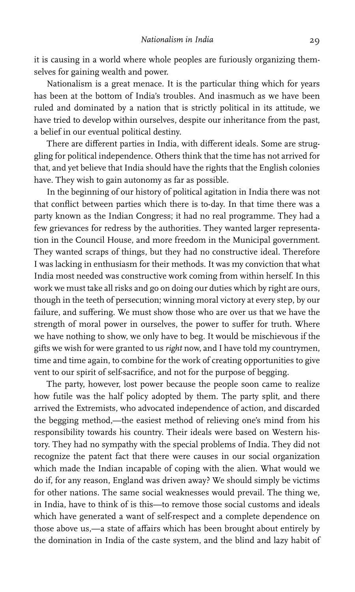it is causing in a world where whole peoples are furiously organizing themselves for gaining wealth and power.

Nationalism is a great menace. It is the particular thing which for years has been at the bottom of India's troubles. And inasmuch as we have been ruled and dominated by a nation that is strictly political in its attitude, we have tried to develop within ourselves, despite our inheritance from the past, a belief in our eventual political destiny.

There are different parties in India, with different ideals. Some are struggling for political independence. Others think that the time has not arrived for that, and yet believe that India should have the rights that the English colonies have. They wish to gain autonomy as far as possible.

In the beginning of our history of political agitation in India there was not that conflict between parties which there is to-day. In that time there was a party known as the Indian Congress; it had no real programme. They had a few grievances for redress by the authorities. They wanted larger representation in the Council House, and more freedom in the Municipal government. They wanted scraps of things, but they had no constructive ideal. Therefore I was lacking in enthusiasm for their methods. It was my conviction that what India most needed was constructive work coming from within herself. In this work we must take all risks and go on doing our duties which by right are ours, though in the teeth of persecution; winning moral victory at every step, by our failure, and suffering. We must show those who are over us that we have the strength of moral power in ourselves, the power to suffer for truth. Where we have nothing to show, we only have to beg. It would be mischievous if the gifts we wish for were granted to us right now, and I have told my countrymen, time and time again, to combine for the work of creating opportunities to give vent to our spirit of self-sacrifice, and not for the purpose of begging.

The party, however, lost power because the people soon came to realize how futile was the half policy adopted by them. The party split, and there arrived the Extremists, who advocated independence of action, and discarded the begging method,—the easiest method of relieving one's mind from his responsibility towards his country. Their ideals were based on Western history. They had no sympathy with the special problems of India. They did not recognize the patent fact that there were causes in our social organization which made the Indian incapable of coping with the alien. What would we do if, for any reason, England was driven away? We should simply be victims for other nations. The same social weaknesses would prevail. The thing we, in India, have to think of is this—to remove those social customs and ideals which have generated a want of self-respect and a complete dependence on those above us,-a state of affairs which has been brought about entirely by the domination in India of the caste system, and the blind and lazy habit of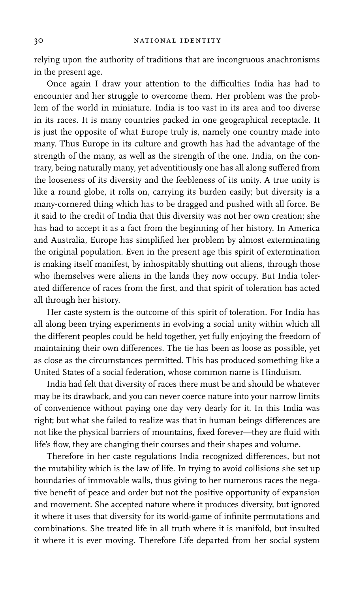relying upon the authority of traditions that are incongruous anachronisms in the present age.

Once again I draw your attention to the difficulties India has had to encounter and her struggle to overcome them. Her problem was the problem of the world in miniature. India is too vast in its area and too diverse in its races. It is many countries packed in one geographical receptacle. It is just the opposite of what Europe truly is, namely one country made into many. Thus Europe in its culture and growth has had the advantage of the strength of the many, as well as the strength of the one. India, on the contrary, being naturally many, yet adventitiously one has all along suffered from the looseness of its diversity and the feebleness of its unity. A true unity is like a round globe, it rolls on, carrying its burden easily; but diversity is a many-cornered thing which has to be dragged and pushed with all force. Be it said to the credit of India that this diversity was not her own creation; she has had to accept it as a fact from the beginning of her history. In America and Australia, Europe has simplified her problem by almost exterminating the original population. Even in the present age this spirit of extermination is making itself manifest, by inhospitably shutting out aliens, through those who themselves were aliens in the lands they now occupy. But India tolerated difference of races from the first, and that spirit of toleration has acted all through her history.

Her caste system is the outcome of this spirit of toleration. For India has all along been trying experiments in evolving a social unity within which all the different peoples could be held together, yet fully enjoying the freedom of maintaining their own differences. The tie has been as loose as possible, yet as close as the circumstances permitted. This has produced something like a United States of a social federation, whose common name is Hinduism.

India had felt that diversity of races there must be and should be whatever may be its drawback, and you can never coerce nature into your narrow limits of convenience without paying one day very dearly for it. In this India was right; but what she failed to realize was that in human beings differences are not like the physical barriers of mountains, fixed forever—they are fluid with life's flow, they are changing their courses and their shapes and volume.

Therefore in her caste regulations India recognized differences, but not the mutability which is the law of life. In trying to avoid collisions she set up boundaries of immovable walls, thus giving to her numerous races the negative benefit of peace and order but not the positive opportunity of expansion and movement. She accepted nature where it produces diversity, but ignored it where it uses that diversity for its world-game of infinite permutations and combinations. She treated life in all truth where it is manifold, but insulted it where it is ever moving. Therefore Life departed from her social system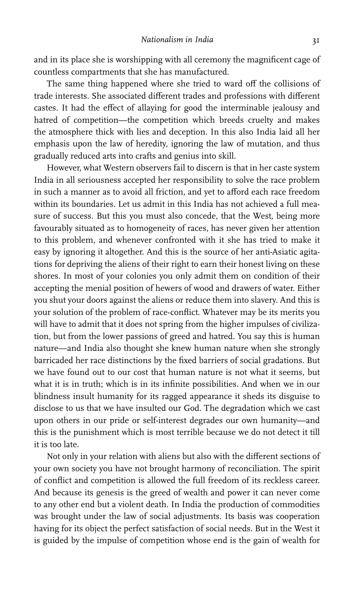and in its place she is worshipping with all ceremony the magnificent cage of countless compartments that she has manufactured.

The same thing happened where she tried to ward off the collisions of trade interests. She associated different trades and professions with different castes. It had the effect of allaying for good the interminable jealousy and hatred of competition—the competition which breeds cruelty and makes the atmosphere thick with lies and deception. In this also India laid all her emphasis upon the law of heredity, ignoring the law of mutation, and thus gradually reduced arts into crafts and genius into skill.

However, what Western observers fail to discern is that in her caste system India in all seriousness accepted her responsibility to solve the race problem in such a manner as to avoid all friction, and yet to afford each race freedom within its boundaries. Let us admit in this India has not achieved a full measure of success. But this you must also concede, that the West, being more favourably situated as to homogeneity of races, has never given her attention to this problem, and whenever confronted with it she has tried to make it easy by ignoring it altogether. And this is the source of her anti-Asiatic agitations for depriving the aliens of their right to earn their honest living on these shores. In most of your colonies you only admit them on condition of their accepting the menial position of hewers of wood and drawers of water. Either you shut your doors against the aliens or reduce them into slavery. And this is your solution of the problem of race-conflict. Whatever may be its merits you will have to admit that it does not spring from the higher impulses of civilization, but from the lower passions of greed and hatred. You say this is human nature—and India also thought she knew human nature when she strongly barricaded her race distinctions by the fixed barriers of social gradations. But we have found out to our cost that human nature is not what it seems, but what it is in truth; which is in its infinite possibilities. And when we in our blindness insult humanity for its ragged appearance it sheds its disguise to disclose to us that we have insulted our God. The degradation which we cast upon others in our pride or self-interest degrades our own humanity—and this is the punishment which is most terrible because we do not detect it till it is too late.

Not only in your relation with aliens but also with the different sections of your own society you have not brought harmony of reconciliation. The spirit of conflict and competition is allowed the full freedom of its reckless career. And because its genesis is the greed of wealth and power it can never come to any other end but a violent death. In India the production of commodities was brought under the law of social adjustments. Its basis was cooperation having for its object the perfect satisfaction of social needs. But in the West it is guided by the impulse of competition whose end is the gain of wealth for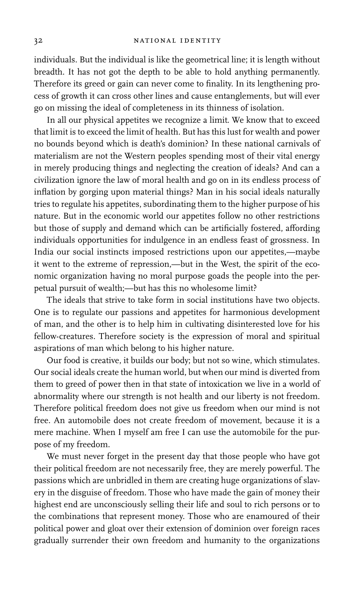individuals. But the individual is like the geometrical line; it is length without breadth. It has not got the depth to be able to hold anything permanently. Therefore its greed or gain can never come to finality. In its lengthening process of growth it can cross other lines and cause entanglements, but will ever go on missing the ideal of completeness in its thinness of isolation.

In all our physical appetites we recognize a limit. We know that to exceed that limit is to exceed the limit of health. But has this lust for wealth and power no bounds beyond which is death's dominion? In these national carnivals of materialism are not the Western peoples spending most of their vital energy in merely producing things and neglecting the creation of ideals? And can a civilization ignore the law of moral health and go on in its endless process of inflation by gorging upon material things? Man in his social ideals naturally tries to regulate his appetites, subordinating them to the higher purpose of his nature. But in the economic world our appetites follow no other restrictions but those of supply and demand which can be artificially fostered, affording individuals opportunities for indulgence in an endless feast of grossness. In India our social instincts imposed restrictions upon our appetites,—maybe it went to the extreme of repression,—but in the West, the spirit of the economic organization having no moral purpose goads the people into the perpetual pursuit of wealth;—but has this no wholesome limit?

The ideals that strive to take form in social institutions have two objects. One is to regulate our passions and appetites for harmonious development of man, and the other is to help him in cultivating disinterested love for his fellow-creatures. Therefore society is the expression of moral and spiritual aspirations of man which belong to his higher nature.

Our food is creative, it builds our body; but not so wine, which stimulates. Our social ideals create the human world, but when our mind is diverted from them to greed of power then in that state of intoxication we live in a world of abnormality where our strength is not health and our liberty is not freedom. Therefore political freedom does not give us freedom when our mind is not free. An automobile does not create freedom of movement, because it is a mere machine. When I myself am free I can use the automobile for the purpose of my freedom.

We must never forget in the present day that those people who have got their political freedom are not necessarily free, they are merely powerful. The passions which are unbridled in them are creating huge organizations of slavery in the disguise of freedom. Those who have made the gain of money their highest end are unconsciously selling their life and soul to rich persons or to the combinations that represent money. Those who are enamoured of their political power and gloat over their extension of dominion over foreign races gradually surrender their own freedom and humanity to the organizations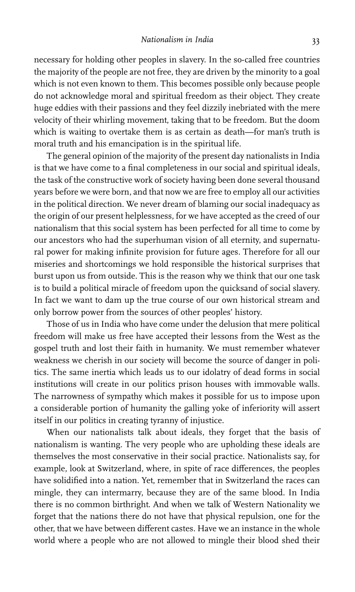necessary for holding other peoples in slavery. In the so-called free countries the majority of the people are not free, they are driven by the minority to a goal which is not even known to them. This becomes possible only because people do not acknowledge moral and spiritual freedom as their object. They create huge eddies with their passions and they feel dizzily inebriated with the mere velocity of their whirling movement, taking that to be freedom. But the doom which is waiting to overtake them is as certain as death—for man's truth is moral truth and his emancipation is in the spiritual life.

The general opinion of the majority of the present day nationalists in India is that we have come to a final completeness in our social and spiritual ideals, the task of the constructive work of society having been done several thousand years before we were born, and that now we are free to employ all our activities in the political direction. We never dream of blaming our social inadequacy as the origin of our present helplessness, for we have accepted as the creed of our nationalism that this social system has been perfected for all time to come by our ancestors who had the superhuman vision of all eternity, and supernatural power for making infinite provision for future ages. Therefore for all our miseries and shortcomings we hold responsible the historical surprises that burst upon us from outside. This is the reason why we think that our one task is to build a political miracle of freedom upon the quicksand of social slavery. In fact we want to dam up the true course of our own historical stream and only borrow power from the sources of other peoples' history.

Those of us in India who have come under the delusion that mere political freedom will make us free have accepted their lessons from the West as the gospel truth and lost their faith in humanity. We must remember whatever weakness we cherish in our society will become the source of danger in politics. The same inertia which leads us to our idolatry of dead forms in social institutions will create in our politics prison houses with immovable walls. The narrowness of sympathy which makes it possible for us to impose upon a considerable portion of humanity the galling yoke of inferiority will assert itself in our politics in creating tyranny of injustice.

When our nationalists talk about ideals, they forget that the basis of nationalism is wanting. The very people who are upholding these ideals are themselves the most conservative in their social practice. Nationalists say, for example, look at Switzerland, where, in spite of race differences, the peoples have solidified into a nation. Yet, remember that in Switzerland the races can mingle, they can intermarry, because they are of the same blood. In India there is no common birthright. And when we talk of Western Nationality we forget that the nations there do not have that physical repulsion, one for the other, that we have between different castes. Have we an instance in the whole world where a people who are not allowed to mingle their blood shed their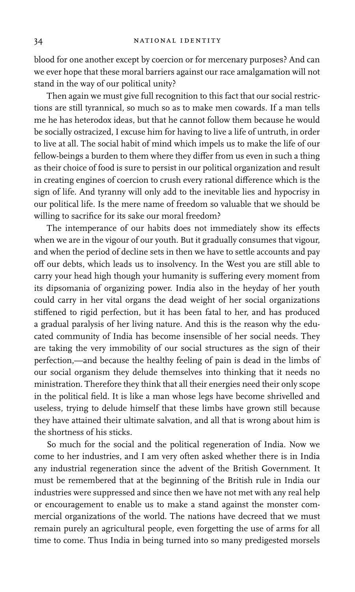blood for one another except by coercion or for mercenary purposes? And can we ever hope that these moral barriers against our race amalgamation will not stand in the way of our political unity?

Then again we must give full recognition to this fact that our social restrictions are still tyrannical, so much so as to make men cowards. If a man tells me he has heterodox ideas, but that he cannot follow them because he would be socially ostracized, I excuse him for having to live a life of untruth, in order to live at all. The social habit of mind which impels us to make the life of our fellow-beings a burden to them where they differ from us even in such a thing as their choice of food is sure to persist in our political organization and result in creating engines of coercion to crush every rational difference which is the sign of life. And tyranny will only add to the inevitable lies and hypocrisy in our political life. Is the mere name of freedom so valuable that we should be willing to sacrifice for its sake our moral freedom?

The intemperance of our habits does not immediately show its effects when we are in the vigour of our youth. But it gradually consumes that vigour, and when the period of decline sets in then we have to settle accounts and pay off our debts, which leads us to insolvency. In the West you are still able to carry your head high though your humanity is suffering every moment from its dipsomania of organizing power. India also in the heyday of her youth could carry in her vital organs the dead weight of her social organizations stiffened to rigid perfection, but it has been fatal to her, and has produced a gradual paralysis of her living nature. And this is the reason why the educated community of India has become insensible of her social needs. They are taking the very immobility of our social structures as the sign of their perfection,—and because the healthy feeling of pain is dead in the limbs of our social organism they delude themselves into thinking that it needs no ministration. Therefore they think that all their energies need their only scope in the political field. It is like a man whose legs have become shrivelled and useless, trying to delude himself that these limbs have grown still because they have attained their ultimate salvation, and all that is wrong about him is the shortness of his sticks.

So much for the social and the political regeneration of India. Now we come to her industries, and I am very often asked whether there is in India any industrial regeneration since the advent of the British Government. It must be remembered that at the beginning of the British rule in India our industries were suppressed and since then we have not met with any real help or encouragement to enable us to make a stand against the monster commercial organizations of the world. The nations have decreed that we must remain purely an agricultural people, even forgetting the use of arms for all time to come. Thus India in being turned into so many predigested morsels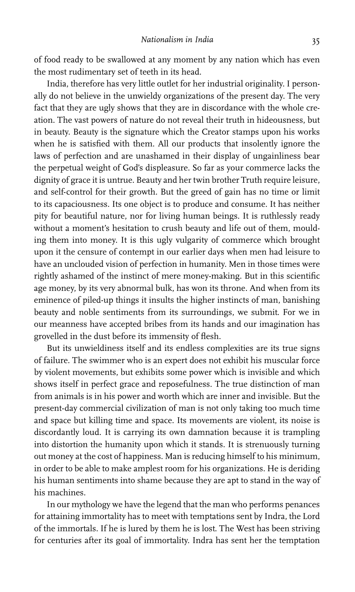of food ready to be swallowed at any moment by any nation which has even the most rudimentary set of teeth in its head.

India, therefore has very little outlet for her industrial originality. I personally do not believe in the unwieldy organizations of the present day. The very fact that they are ugly shows that they are in discordance with the whole creation. The vast powers of nature do not reveal their truth in hideousness, but in beauty. Beauty is the signature which the Creator stamps upon his works when he is satisfied with them. All our products that insolently ignore the laws of perfection and are unashamed in their display of ungainliness bear the perpetual weight of God's displeasure. So far as your commerce lacks the dignity of grace it is untrue. Beauty and her twin brother Truth require leisure, and self-control for their growth. But the greed of gain has no time or limit to its capaciousness. Its one object is to produce and consume. It has neither pity for beautiful nature, nor for living human beings. It is ruthlessly ready without a moment's hesitation to crush beauty and life out of them, moulding them into money. It is this ugly vulgarity of commerce which brought upon it the censure of contempt in our earlier days when men had leisure to have an unclouded vision of perfection in humanity. Men in those times were rightly ashamed of the instinct of mere money-making. But in this scientific age money, by its very abnormal bulk, has won its throne. And when from its eminence of piled-up things it insults the higher instincts of man, banishing beauty and noble sentiments from its surroundings, we submit. For we in our meanness have accepted bribes from its hands and our imagination has grovelled in the dust before its immensity of flesh.

But its unwieldiness itself and its endless complexities are its true signs of failure. The swimmer who is an expert does not exhibit his muscular force by violent movements, but exhibits some power which is invisible and which shows itself in perfect grace and reposefulness. The true distinction of man from animals is in his power and worth which are inner and invisible. But the present-day commercial civilization of man is not only taking too much time and space but killing time and space. Its movements are violent, its noise is discordantly loud. It is carrying its own damnation because it is trampling into distortion the humanity upon which it stands. It is strenuously turning out money at the cost of happiness. Man is reducing himself to his minimum, in order to be able to make amplest room for his organizations. He is deriding his human sentiments into shame because they are apt to stand in the way of his machines.

In our mythology we have the legend that the man who performs penances for attaining immortality has to meet with temptations sent by Indra, the Lord of the immortals. If he is lured by them he is lost. The West has been striving for centuries after its goal of immortality. Indra has sent her the temptation